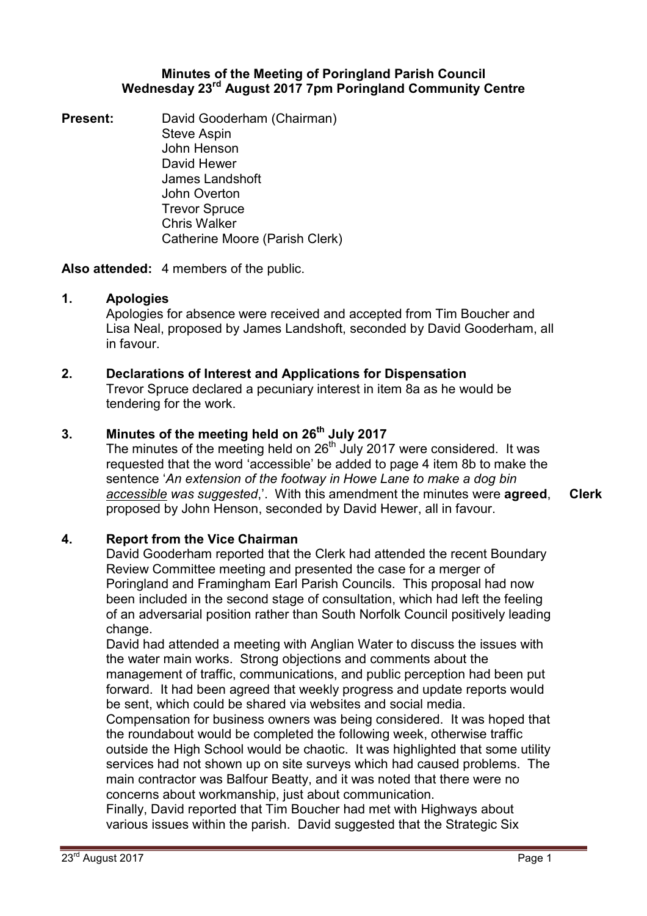#### **Minutes of the Meeting of Poringland Parish Council Wednesday 23rd August 2017 7pm Poringland Community Centre**

**Present:** David Gooderham (Chairman) Steve Aspin John Henson David Hewer James Landshoft John Overton Trevor Spruce Chris Walker Catherine Moore (Parish Clerk)

**Also attended:** 4 members of the public.

### **1. Apologies**

Apologies for absence were received and accepted from Tim Boucher and Lisa Neal, proposed by James Landshoft, seconded by David Gooderham, all in favour.

## **2. Declarations of Interest and Applications for Dispensation**

Trevor Spruce declared a pecuniary interest in item 8a as he would be tendering for the work.

# **3. Minutes of the meeting held on 26th July 2017**

The minutes of the meeting held on  $26<sup>th</sup>$  July 2017 were considered. It was requested that the word 'accessible' be added to page 4 item 8b to make the sentence '*An extension of the footway in Howe Lane to make a dog bin accessible was suggested*,'. With this amendment the minutes were **agreed**, proposed by John Henson, seconded by David Hewer, all in favour.

# **4. Report from the Vice Chairman**

David Gooderham reported that the Clerk had attended the recent Boundary Review Committee meeting and presented the case for a merger of Poringland and Framingham Earl Parish Councils. This proposal had now been included in the second stage of consultation, which had left the feeling of an adversarial position rather than South Norfolk Council positively leading change.

David had attended a meeting with Anglian Water to discuss the issues with the water main works. Strong objections and comments about the management of traffic, communications, and public perception had been put forward. It had been agreed that weekly progress and update reports would be sent, which could be shared via websites and social media.

Compensation for business owners was being considered. It was hoped that the roundabout would be completed the following week, otherwise traffic outside the High School would be chaotic. It was highlighted that some utility services had not shown up on site surveys which had caused problems. The main contractor was Balfour Beatty, and it was noted that there were no concerns about workmanship, just about communication.

Finally, David reported that Tim Boucher had met with Highways about various issues within the parish. David suggested that the Strategic Six

23<sup>rd</sup> August 2017 Page 1

**Clerk**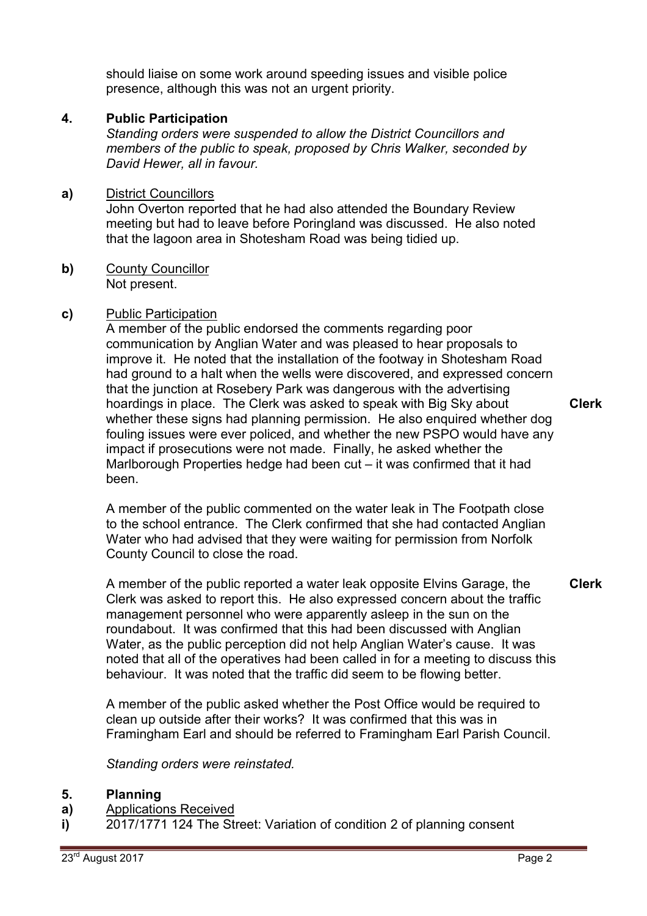should liaise on some work around speeding issues and visible police presence, although this was not an urgent priority.

## **4. Public Participation**

*Standing orders were suspended to allow the District Councillors and members of the public to speak, proposed by Chris Walker, seconded by David Hewer, all in favour.* 

## **a)** District Councillors

John Overton reported that he had also attended the Boundary Review meeting but had to leave before Poringland was discussed. He also noted that the lagoon area in Shotesham Road was being tidied up.

**b)** County Councillor Not present.

### **c)** Public Participation

A member of the public endorsed the comments regarding poor communication by Anglian Water and was pleased to hear proposals to improve it. He noted that the installation of the footway in Shotesham Road had ground to a halt when the wells were discovered, and expressed concern that the junction at Rosebery Park was dangerous with the advertising hoardings in place. The Clerk was asked to speak with Big Sky about whether these signs had planning permission. He also enquired whether dog fouling issues were ever policed, and whether the new PSPO would have any impact if prosecutions were not made. Finally, he asked whether the Marlborough Properties hedge had been cut – it was confirmed that it had been. **Clerk**

A member of the public commented on the water leak in The Footpath close to the school entrance. The Clerk confirmed that she had contacted Anglian Water who had advised that they were waiting for permission from Norfolk County Council to close the road.

A member of the public reported a water leak opposite Elvins Garage, the Clerk was asked to report this. He also expressed concern about the traffic management personnel who were apparently asleep in the sun on the roundabout. It was confirmed that this had been discussed with Anglian Water, as the public perception did not help Anglian Water's cause. It was noted that all of the operatives had been called in for a meeting to discuss this behaviour. It was noted that the traffic did seem to be flowing better. **Clerk**

A member of the public asked whether the Post Office would be required to clean up outside after their works? It was confirmed that this was in Framingham Earl and should be referred to Framingham Earl Parish Council.

*Standing orders were reinstated.* 

#### **5. Planning**

- **a)**  Applications Received
- **i)**  2017/1771 124 The Street: Variation of condition 2 of planning consent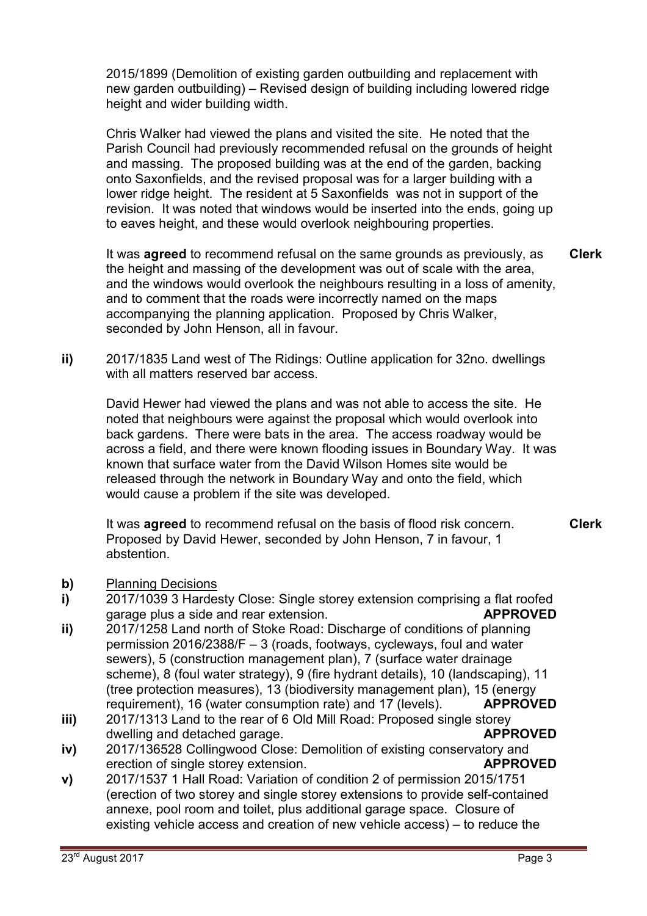2015/1899 (Demolition of existing garden outbuilding and replacement with new garden outbuilding) – Revised design of building including lowered ridge height and wider building width.

Chris Walker had viewed the plans and visited the site. He noted that the Parish Council had previously recommended refusal on the grounds of height and massing. The proposed building was at the end of the garden, backing onto Saxonfields, and the revised proposal was for a larger building with a lower ridge height. The resident at 5 Saxonfields was not in support of the revision. It was noted that windows would be inserted into the ends, going up to eaves height, and these would overlook neighbouring properties.

It was **agreed** to recommend refusal on the same grounds as previously, as the height and massing of the development was out of scale with the area, and the windows would overlook the neighbours resulting in a loss of amenity, and to comment that the roads were incorrectly named on the maps accompanying the planning application. Proposed by Chris Walker, seconded by John Henson, all in favour. **Clerk**

**ii)** 2017/1835 Land west of The Ridings: Outline application for 32no. dwellings with all matters reserved bar access.

David Hewer had viewed the plans and was not able to access the site. He noted that neighbours were against the proposal which would overlook into back gardens. There were bats in the area. The access roadway would be across a field, and there were known flooding issues in Boundary Way. It was known that surface water from the David Wilson Homes site would be released through the network in Boundary Way and onto the field, which would cause a problem if the site was developed.

It was **agreed** to recommend refusal on the basis of flood risk concern. Proposed by David Hewer, seconded by John Henson, 7 in favour, 1 abstention. **Clerk**

- **b)** Planning Decisions
- **i)**  2017/1039 3 Hardesty Close: Single storey extension comprising a flat roofed garage plus a side and rear extension. **APPROVED**
- **ii)**  2017/1258 Land north of Stoke Road: Discharge of conditions of planning permission 2016/2388/F – 3 (roads, footways, cycleways, foul and water sewers), 5 (construction management plan), 7 (surface water drainage scheme), 8 (foul water strategy), 9 (fire hydrant details), 10 (landscaping), 11 (tree protection measures), 13 (biodiversity management plan), 15 (energy requirement), 16 (water consumption rate) and 17 (levels). **APPROVED**
- **iii)**  2017/1313 Land to the rear of 6 Old Mill Road: Proposed single storey dwelling and detached garage. **APPROVED**
- **iv)**  2017/136528 Collingwood Close: Demolition of existing conservatory and erection of single storey extension. **APPROVED**
- **v)**  2017/1537 1 Hall Road: Variation of condition 2 of permission 2015/1751 (erection of two storey and single storey extensions to provide self-contained annexe, pool room and toilet, plus additional garage space. Closure of existing vehicle access and creation of new vehicle access) – to reduce the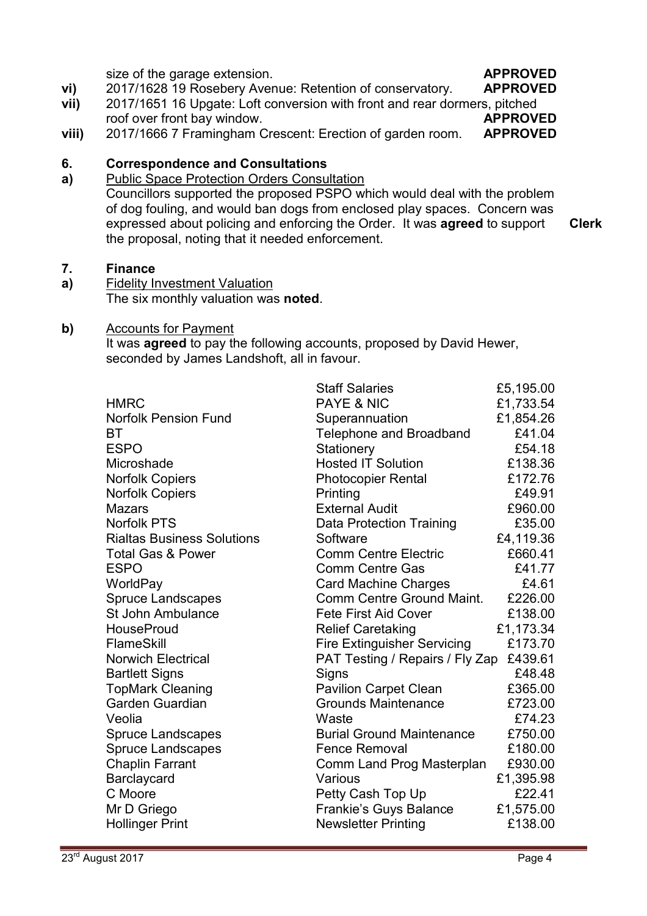size of the garage extension. **APPROVED**

**vi)**  2017/1628 19 Rosebery Avenue: Retention of conservatory. **APPROVED**

- **vii)**  2017/1651 16 Upgate: Loft conversion with front and rear dormers, pitched roof over front bay window. **APPROVED**
- **viii)**  2017/1666 7 Framingham Crescent: Erection of garden room. **APPROVED**

#### **6. Correspondence and Consultations**

**a)**  Public Space Protection Orders Consultation Councillors supported the proposed PSPO which would deal with the problem of dog fouling, and would ban dogs from enclosed play spaces. Concern was expressed about policing and enforcing the Order. It was **agreed** to support the proposal, noting that it needed enforcement. **Clerk**

#### **7. Finance**

**a)**  Fidelity Investment Valuation The six monthly valuation was **noted**.

#### **b)** Accounts for Payment

It was **agreed** to pay the following accounts, proposed by David Hewer, seconded by James Landshoft, all in favour.

| <b>Staff Salaries</b>              | £5,195.00                       |
|------------------------------------|---------------------------------|
| <b>PAYE &amp; NIC</b>              | £1,733.54                       |
| Superannuation                     | £1,854.26                       |
| <b>Telephone and Broadband</b>     | £41.04                          |
| Stationery                         | £54.18                          |
| <b>Hosted IT Solution</b>          | £138.36                         |
| <b>Photocopier Rental</b>          | £172.76                         |
| Printing                           | £49.91                          |
| <b>External Audit</b>              | £960.00                         |
| Data Protection Training           | £35.00                          |
| Software                           | £4,119.36                       |
| <b>Comm Centre Electric</b>        | £660.41                         |
| <b>Comm Centre Gas</b>             | £41.77                          |
| <b>Card Machine Charges</b>        | £4.61                           |
| Comm Centre Ground Maint.          | £226.00                         |
| <b>Fete First Aid Cover</b>        | £138.00                         |
| <b>Relief Caretaking</b>           | £1,173.34                       |
| <b>Fire Extinguisher Servicing</b> | £173.70                         |
|                                    | £439.61                         |
| Signs                              | £48.48                          |
| <b>Pavilion Carpet Clean</b>       | £365.00                         |
| <b>Grounds Maintenance</b>         | £723.00                         |
| Waste                              | £74.23                          |
| <b>Burial Ground Maintenance</b>   | £750.00                         |
| <b>Fence Removal</b>               | £180.00                         |
| Comm Land Prog Masterplan          | £930.00                         |
| Various                            | £1,395.98                       |
| Petty Cash Top Up                  | £22.41                          |
| <b>Frankie's Guys Balance</b>      | £1,575.00                       |
| <b>Newsletter Printing</b>         | £138.00                         |
|                                    | PAT Testing / Repairs / Fly Zap |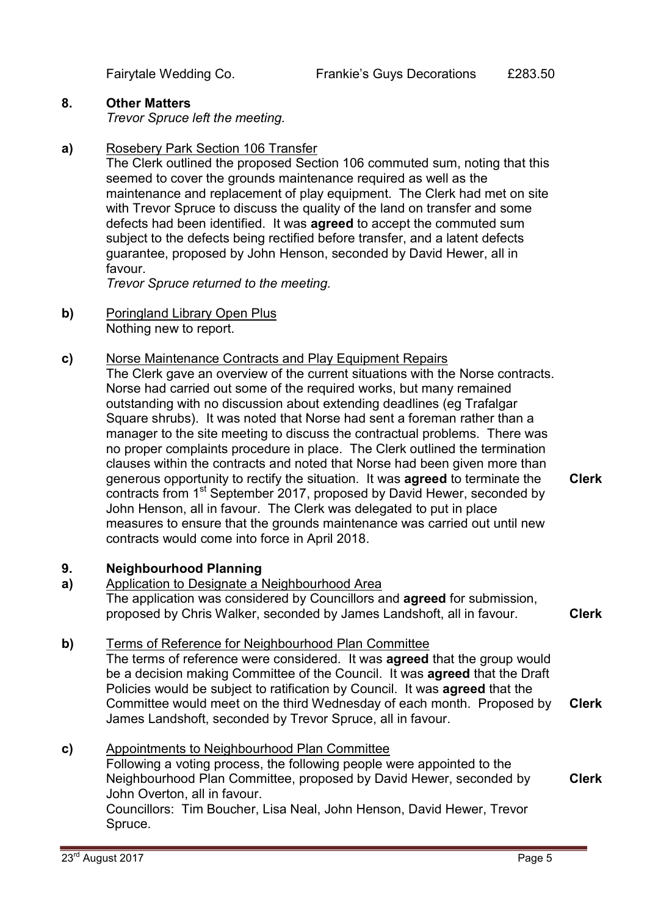## **8. Other Matters**

*Trevor Spruce left the meeting.* 

# **a)** Rosebery Park Section 106 Transfer

The Clerk outlined the proposed Section 106 commuted sum, noting that this seemed to cover the grounds maintenance required as well as the maintenance and replacement of play equipment. The Clerk had met on site with Trevor Spruce to discuss the quality of the land on transfer and some defects had been identified. It was **agreed** to accept the commuted sum subject to the defects being rectified before transfer, and a latent defects guarantee, proposed by John Henson, seconded by David Hewer, all in favour.

*Trevor Spruce returned to the meeting.* 

**b)** Poringland Library Open Plus Nothing new to report.

### **c)** Norse Maintenance Contracts and Play Equipment Repairs

The Clerk gave an overview of the current situations with the Norse contracts. Norse had carried out some of the required works, but many remained outstanding with no discussion about extending deadlines (eg Trafalgar Square shrubs). It was noted that Norse had sent a foreman rather than a manager to the site meeting to discuss the contractual problems. There was no proper complaints procedure in place. The Clerk outlined the termination clauses within the contracts and noted that Norse had been given more than generous opportunity to rectify the situation. It was **agreed** to terminate the contracts from 1<sup>st</sup> September 2017, proposed by David Hewer, seconded by John Henson, all in favour. The Clerk was delegated to put in place measures to ensure that the grounds maintenance was carried out until new contracts would come into force in April 2018. **Clerk**

#### **9. Neighbourhood Planning**

- **a)**  Application to Designate a Neighbourhood Area The application was considered by Councillors and **agreed** for submission, proposed by Chris Walker, seconded by James Landshoft, all in favour. **Clerk**
- **b)** Terms of Reference for Neighbourhood Plan Committee The terms of reference were considered. It was **agreed** that the group would be a decision making Committee of the Council. It was **agreed** that the Draft

Policies would be subject to ratification by Council. It was **agreed** that the Committee would meet on the third Wednesday of each month. Proposed by James Landshoft, seconded by Trevor Spruce, all in favour. **Clerk**

**c)** Appointments to Neighbourhood Plan Committee Following a voting process, the following people were appointed to the Neighbourhood Plan Committee, proposed by David Hewer, seconded by John Overton, all in favour. Councillors: Tim Boucher, Lisa Neal, John Henson, David Hewer, Trevor Spruce. **Clerk**